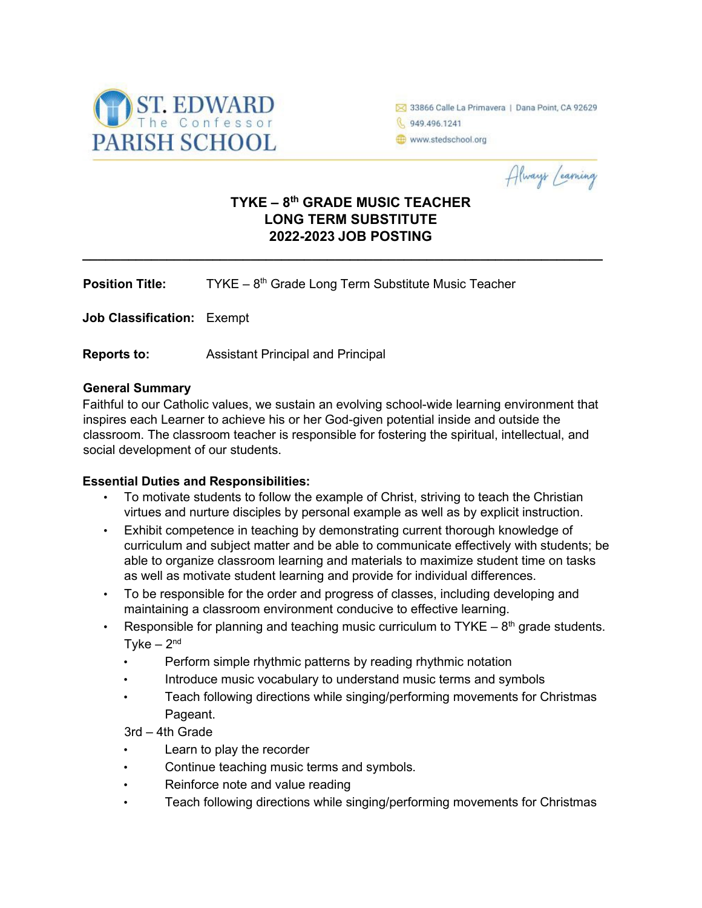

33866 Calle La Primavera | Dana Point, CA 92629 6 949.496.1241 www.stedschool.org

Always Learning

# **TYKE – 8th GRADE MUSIC TEACHER LONG TERM SUBSTITUTE 2022-2023 JOB POSTING**

**\_\_\_\_\_\_\_\_\_\_\_\_\_\_\_\_\_\_\_\_\_\_\_\_\_\_\_\_\_\_\_\_\_\_\_\_\_\_\_\_\_\_\_\_\_\_\_\_\_\_\_\_\_\_\_\_\_\_\_\_\_\_\_\_\_\_\_\_** 

**Position Title:** TYKE – 8<sup>th</sup> Grade Long Term Substitute Music Teacher

**Job Classification:** Exempt

**Reports to:** Assistant Principal and Principal

#### **General Summary**

Faithful to our Catholic values, we sustain an evolving school-wide learning environment that inspires each Learner to achieve his or her God-given potential inside and outside the classroom. The classroom teacher is responsible for fostering the spiritual, intellectual, and social development of our students.

#### **Essential Duties and Responsibilities:**

- To motivate students to follow the example of Christ, striving to teach the Christian virtues and nurture disciples by personal example as well as by explicit instruction.
- Exhibit competence in teaching by demonstrating current thorough knowledge of curriculum and subject matter and be able to communicate effectively with students; be able to organize classroom learning and materials to maximize student time on tasks as well as motivate student learning and provide for individual differences.
- To be responsible for the order and progress of classes, including developing and maintaining a classroom environment conducive to effective learning.
- Responsible for planning and teaching music curriculum to  $TYKE 8<sup>th</sup>$  grade students.  $Tyke - 2<sup>nd</sup>$ 
	- Perform simple rhythmic patterns by reading rhythmic notation
	- Introduce music vocabulary to understand music terms and symbols
	- Teach following directions while singing/performing movements for Christmas Pageant.

3rd – 4th Grade

- Learn to play the recorder
- Continue teaching music terms and symbols.
- Reinforce note and value reading
- Teach following directions while singing/performing movements for Christmas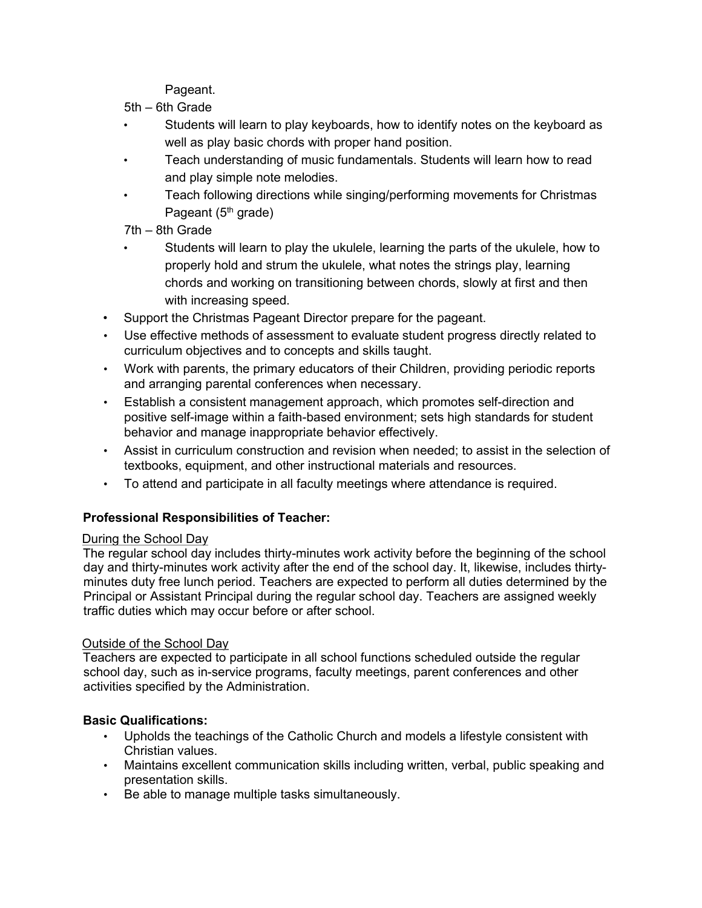Pageant.

- 5th 6th Grade
- Students will learn to play keyboards, how to identify notes on the keyboard as well as play basic chords with proper hand position.
- Teach understanding of music fundamentals. Students will learn how to read and play simple note melodies.
- Teach following directions while singing/performing movements for Christmas Pageant  $(5<sup>th</sup>$  grade)
- 7th 8th Grade
- Students will learn to play the ukulele, learning the parts of the ukulele, how to properly hold and strum the ukulele, what notes the strings play, learning chords and working on transitioning between chords, slowly at first and then with increasing speed.
- Support the Christmas Pageant Director prepare for the pageant.
- Use effective methods of assessment to evaluate student progress directly related to curriculum objectives and to concepts and skills taught.
- Work with parents, the primary educators of their Children, providing periodic reports and arranging parental conferences when necessary.
- Establish a consistent management approach, which promotes self-direction and positive self-image within a faith-based environment; sets high standards for student behavior and manage inappropriate behavior effectively.
- Assist in curriculum construction and revision when needed; to assist in the selection of textbooks, equipment, and other instructional materials and resources.
- To attend and participate in all faculty meetings where attendance is required.

# **Professional Responsibilities of Teacher:**

## During the School Day

The regular school day includes thirty-minutes work activity before the beginning of the school day and thirty-minutes work activity after the end of the school day. It, likewise, includes thirtyminutes duty free lunch period. Teachers are expected to perform all duties determined by the Principal or Assistant Principal during the regular school day. Teachers are assigned weekly traffic duties which may occur before or after school.

## Outside of the School Day

Teachers are expected to participate in all school functions scheduled outside the regular school day, such as in-service programs, faculty meetings, parent conferences and other activities specified by the Administration.

## **Basic Qualifications:**

- Upholds the teachings of the Catholic Church and models a lifestyle consistent with Christian values.
- Maintains excellent communication skills including written, verbal, public speaking and presentation skills.
- Be able to manage multiple tasks simultaneously.